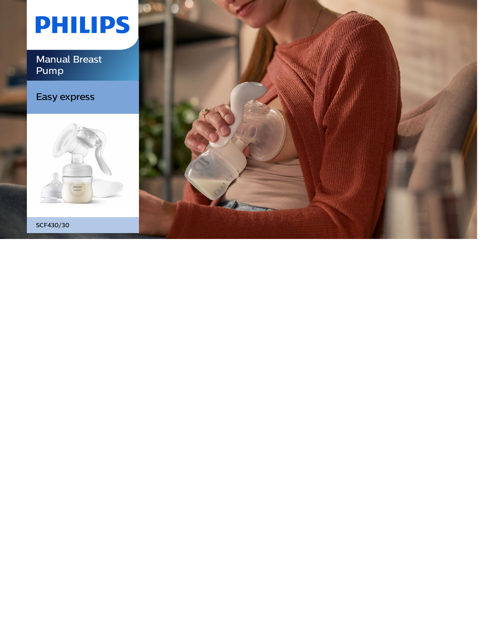# **PHILIPS**

Manual Breast Pump

### Easy express



SCF430/30

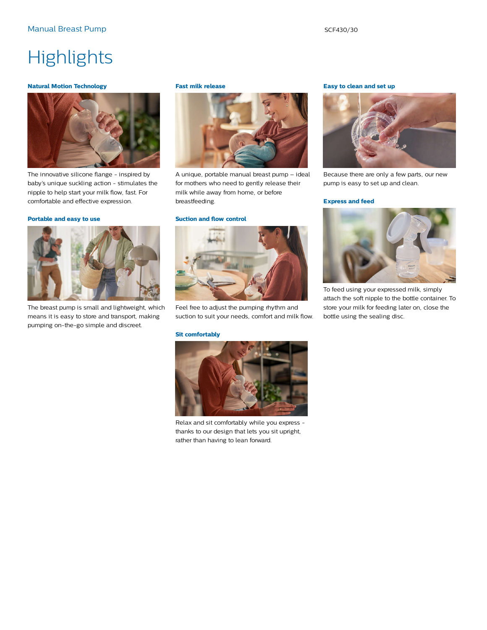### **Highlights**

#### **Natural Motion Technology**



The innovative silicone flange - inspired by baby's unique suckling action - stimulates the nipple to help start your milk flow, fast. For comfortable and effective expression.

#### **Portable and easy to use**



The breast pump is small and lightweight, which means it is easy to store and transport, making pumping on-the-go simple and discreet.

#### **Fast milk release**



A unique, portable manual breast pump – ideal for mothers who need to gently release their milk while away from home, or before breastfeeding.

#### **Suction and flow control**



Feel free to adjust the pumping rhythm and suction to suit your needs, comfort and milk flow.

#### **Sit comfortably**



Relax and sit comfortably while you express thanks to our design that lets you sit upright, rather than having to lean forward.

#### **Easy to clean and set up**



Because there are only a few parts, our new pump is easy to set up and clean.

#### **Express and feed**



To feed using your expressed milk, simply attach the soft nipple to the bottle container. To store your milk for feeding later on, close the bottle using the sealing disc.